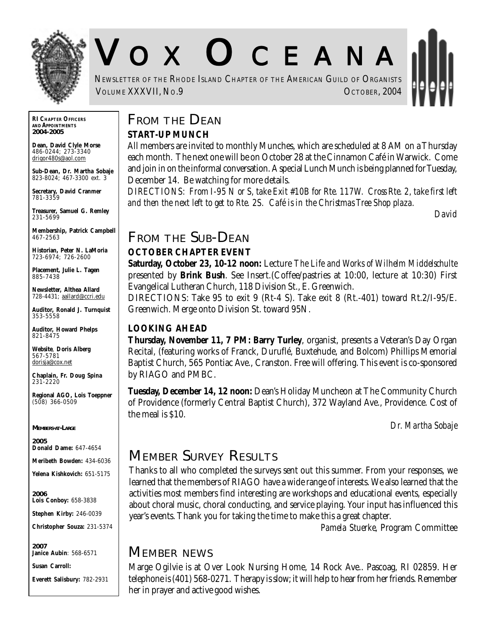

# V O X O CEANA

NEWSLETTER OF THE RHODE ISLAND CHAPTER OF THE AMERICAN GUILD OF ORGANISTS VOLUME XXXVII, NO.9 OCTOBER, 2004

**RI CHAPTER OFFICERS AND APPOINTMENTS** *2004-2005*

**Dean, David Clyle Morse** 486-0244; 273-3340 drigor480s@aol.com

**Sub-Dean, Dr. Martha Sobaje** 823-8024; 467-3300 ext. 3

**Secretary, David Cranmer** 781-3359

**Treasurer, Samuel G. Remley** 231-5699

**Membership, Patrick Campbell** 467-2563

**Historian, Peter N. LaMoria** 723-6974; 726-2600

**Placement, Julie L. Tagen** 885-7438

**Newsletter, Althea Allard** 728-4431; aallard@ccri.edu

**Auditor, Ronald J. Turnquist** 353-5558

**Auditor, Howard Phelps** 821-8475

**Website**, **Doris Alberg** 567-5781 dorisja@cox.net

**Chaplain, Fr. Doug Spina** 231-2220

**Regional AGO, Lois Toeppner** (508) 366-0509

*MEMBERS-AT-LARGE*

*2005* **Donald Dame:** 647-4654

**Meribeth Bowden:** 434-6036

**Yelena Kishkovich:** 651-5175

*2006* **Lois Conboy:** 658-3838

**Stephen Kirby:** 246-0039

**Christopher Souza:** 231-5374

*2007* **Janice Aubin**: 568-6571

**Susan Carroll:**

**Everett Salisbury:** 782-2931

## **FROM THE DEAN**

#### **START-UP MUNCH**

All members are invited to monthly Munches, which are scheduled at 8 AM on a Thursday each month. The next one will be on October 28 at the Cinnamon Café in Warwick. Come and join in on the informal conversation. A special Lunch Munch is being planned for Tuesday, December 14. Be watching for more details.

*DIRECTIONS: From I-95 N or S, take Exit #10B for Rte. 117W. Cross Rte. 2, take first left and then the next left to get to Rte. 2S. Café is in the Christmas Tree Shop plaza.*

*David*

#### **FROM THE SUB-DEAN**

#### **OCTOBER CHAPTER EVENT**

**Saturday, October 23, 10-12 noon:** Lecture *The Life and Works of Wilhelm Middelschulte* presented by **Brink Bush**. See Insert.(Coffee/pastries at 10:00, lecture at 10:30) First Evangelical Lutheran Church, 118 Division St., E. Greenwich.

DIRECTIONS: Take 95 to exit 9 (Rt-4 S). Take exit 8 (Rt.-401) toward Rt.2/I-95/E. Greenwich. Merge onto Division St. toward 95N.

#### **LOOKING AHEAD**

**Thursday, November 11, 7 PM: Barry Turley**, organist, presents a Veteran's Day Organ Recital, (featuring works of Franck, Duruflé, Buxtehude, and Bolcom) Phillips Memorial Baptist Church, 565 Pontiac Ave., Cranston. Free will offering. This event is co-sponsored by RIAGO and PMBC.

**Tuesday, December 14, 12 noon:** Dean's Holiday Muncheon at The Community Church of Providence (formerly Central Baptist Church), 372 Wayland Ave., Providence. Cost of the meal is \$10.

*Dr. Martha Sobaje*

## **MEMBER SURVEY RESULTS**

Thanks to all who completed the surveys sent out this summer. From your responses, we learned that the members of RIAGO have a wide range of interests. We also learned that the activities most members find interesting are workshops and educational events, especially about choral music, choral conducting, and service playing. Your input has influenced this year's events. Thank you for taking the time to make this a great chapter.

*Pamela Stuerke*, Program Committee

#### **MEMBER NEWS**

Marge Ogilvie is at Over Look Nursing Home, 14 Rock Ave.. Pascoag, RI 02859. Her telephone is (401) 568-0271. Therapy is slow; it will help to hear from her friends. Remember her in prayer and active good wishes.